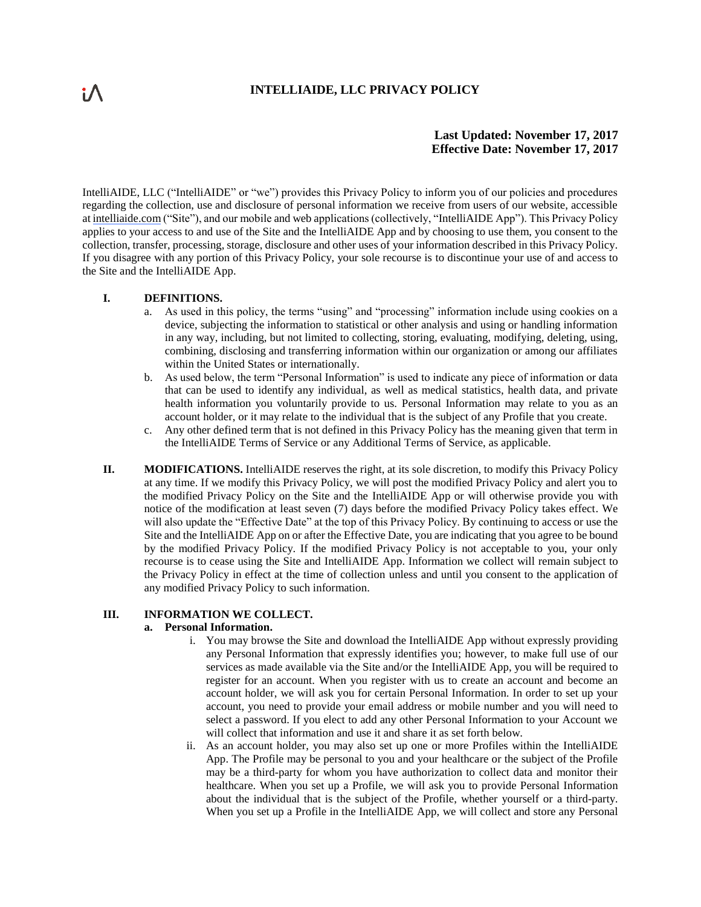# **INTELLIAIDE, LLC PRIVACY POLICY**

# **Last Updated: November 17, 2017 Effective Date: November 17, 2017**

IntelliAIDE, LLC ("IntelliAIDE" or "we") provides this Privacy Policy to inform you of our policies and procedures regarding the collection, use and disclosure of personal information we receive from users of our website, accessible at intelliaide.com ("Site"), and our mobile and web applications (collectively, "IntelliAIDE App"). This Privacy Policy applies to your access to and use of the Site and the IntelliAIDE App and by choosing to use them, you consent to the collection, transfer, processing, storage, disclosure and other uses of your information described in this Privacy Policy. If you disagree with any portion of this Privacy Policy, your sole recourse is to discontinue your use of and access to the Site and the IntelliAIDE App.

### **I. DEFINITIONS.**

- a. As used in this policy, the terms "using" and "processing" information include using cookies on a device, subjecting the information to statistical or other analysis and using or handling information in any way, including, but not limited to collecting, storing, evaluating, modifying, deleting, using, combining, disclosing and transferring information within our organization or among our affiliates within the United States or internationally.
- b. As used below, the term "Personal Information" is used to indicate any piece of information or data that can be used to identify any individual, as well as medical statistics, health data, and private health information you voluntarily provide to us. Personal Information may relate to you as an account holder, or it may relate to the individual that is the subject of any Profile that you create.
- c. Any other defined term that is not defined in this Privacy Policy has the meaning given that term in the IntelliAIDE Terms of Service or any Additional Terms of Service, as applicable.
- **II. MODIFICATIONS.** IntelliAIDE reserves the right, at its sole discretion, to modify this Privacy Policy at any time. If we modify this Privacy Policy, we will post the modified Privacy Policy and alert you to the modified Privacy Policy on the Site and the IntelliAIDE App or will otherwise provide you with notice of the modification at least seven (7) days before the modified Privacy Policy takes effect. We will also update the "Effective Date" at the top of this Privacy Policy. By continuing to access or use the Site and the IntelliAIDE App on or after the Effective Date, you are indicating that you agree to be bound by the modified Privacy Policy. If the modified Privacy Policy is not acceptable to you, your only recourse is to cease using the Site and IntelliAIDE App. Information we collect will remain subject to the Privacy Policy in effect at the time of collection unless and until you consent to the application of any modified Privacy Policy to such information.

# **III. INFORMATION WE COLLECT.**

#### **a. Personal Information.**

- i. You may browse the Site and download the IntelliAIDE App without expressly providing any Personal Information that expressly identifies you; however, to make full use of our services as made available via the Site and/or the IntelliAIDE App, you will be required to register for an account. When you register with us to create an account and become an account holder, we will ask you for certain Personal Information. In order to set up your account, you need to provide your email address or mobile number and you will need to select a password. If you elect to add any other Personal Information to your Account we will collect that information and use it and share it as set forth below.
- ii. As an account holder, you may also set up one or more Profiles within the IntelliAIDE App. The Profile may be personal to you and your healthcare or the subject of the Profile may be a third-party for whom you have authorization to collect data and monitor their healthcare. When you set up a Profile, we will ask you to provide Personal Information about the individual that is the subject of the Profile, whether yourself or a third-party. When you set up a Profile in the IntelliAIDE App, we will collect and store any Personal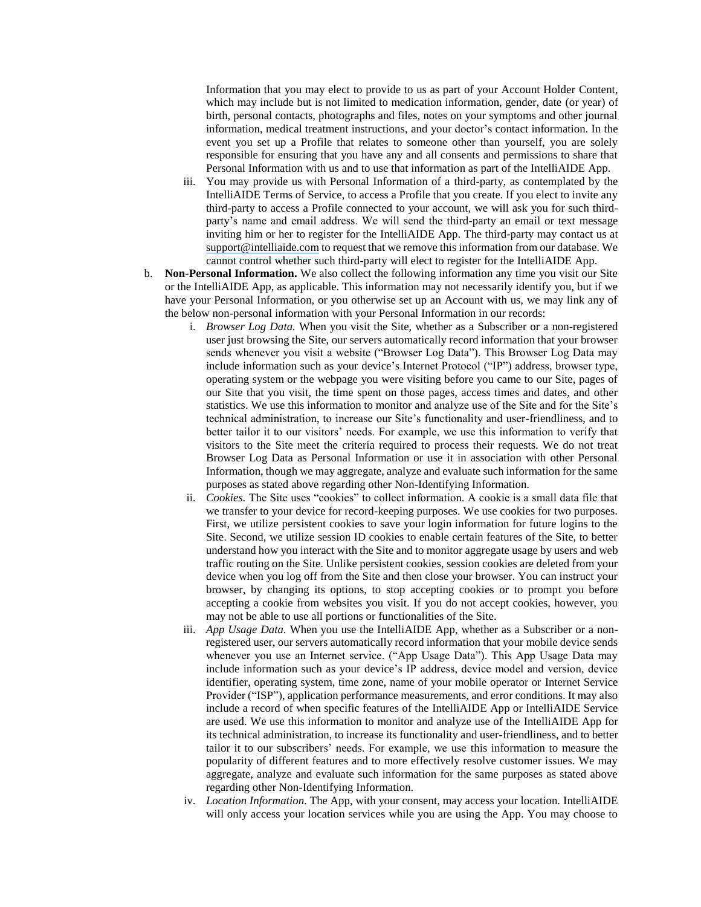Information that you may elect to provide to us as part of your Account Holder Content, which may include but is not limited to medication information, gender, date (or year) of birth, personal contacts, photographs and files, notes on your symptoms and other journal information, medical treatment instructions, and your doctor's contact information. In the event you set up a Profile that relates to someone other than yourself, you are solely responsible for ensuring that you have any and all consents and permissions to share that Personal Information with us and to use that information as part of the IntelliAIDE App.

- iii. You may provide us with Personal Information of a third-party, as contemplated by the IntelliAIDE Terms of Service, to access a Profile that you create. If you elect to invite any third-party to access a Profile connected to your account, we will ask you for such thirdparty's name and email address. We will send the third-party an email or text message inviting him or her to register for the IntelliAIDE App. The third-party may contact us at [support@intelliaide.com](mailto:support@carezone.com) to request that we remove this information from our database. We cannot control whether such third-party will elect to register for the IntelliAIDE App.
- b. **Non-Personal Information.** We also collect the following information any time you visit our Site or the IntelliAIDE App, as applicable. This information may not necessarily identify you, but if we have your Personal Information, or you otherwise set up an Account with us, we may link any of the below non-personal information with your Personal Information in our records:
	- i. *Browser Log Data.* When you visit the Site, whether as a Subscriber or a non-registered user just browsing the Site, our servers automatically record information that your browser sends whenever you visit a website ("Browser Log Data"). This Browser Log Data may include information such as your device's Internet Protocol ("IP") address, browser type, operating system or the webpage you were visiting before you came to our Site, pages of our Site that you visit, the time spent on those pages, access times and dates, and other statistics. We use this information to monitor and analyze use of the Site and for the Site's technical administration, to increase our Site's functionality and user-friendliness, and to better tailor it to our visitors' needs. For example, we use this information to verify that visitors to the Site meet the criteria required to process their requests. We do not treat Browser Log Data as Personal Information or use it in association with other Personal Information, though we may aggregate, analyze and evaluate such information for the same purposes as stated above regarding other Non-Identifying Information.
	- ii. *Cookies.* The Site uses "cookies" to collect information. A cookie is a small data file that we transfer to your device for record-keeping purposes. We use cookies for two purposes. First, we utilize persistent cookies to save your login information for future logins to the Site. Second, we utilize session ID cookies to enable certain features of the Site, to better understand how you interact with the Site and to monitor aggregate usage by users and web traffic routing on the Site. Unlike persistent cookies, session cookies are deleted from your device when you log off from the Site and then close your browser. You can instruct your browser, by changing its options, to stop accepting cookies or to prompt you before accepting a cookie from websites you visit. If you do not accept cookies, however, you may not be able to use all portions or functionalities of the Site.
	- iii. *App Usage Data*. When you use the IntelliAIDE App, whether as a Subscriber or a nonregistered user, our servers automatically record information that your mobile device sends whenever you use an Internet service. ("App Usage Data"). This App Usage Data may include information such as your device's IP address, device model and version, device identifier, operating system, time zone, name of your mobile operator or Internet Service Provider ("ISP"), application performance measurements, and error conditions. It may also include a record of when specific features of the IntelliAIDE App or IntelliAIDE Service are used. We use this information to monitor and analyze use of the IntelliAIDE App for its technical administration, to increase its functionality and user-friendliness, and to better tailor it to our subscribers' needs. For example, we use this information to measure the popularity of different features and to more effectively resolve customer issues. We may aggregate, analyze and evaluate such information for the same purposes as stated above regarding other Non-Identifying Information.
	- iv. *Location Information.* The App, with your consent, may access your location. IntelliAIDE will only access your location services while you are using the App. You may choose to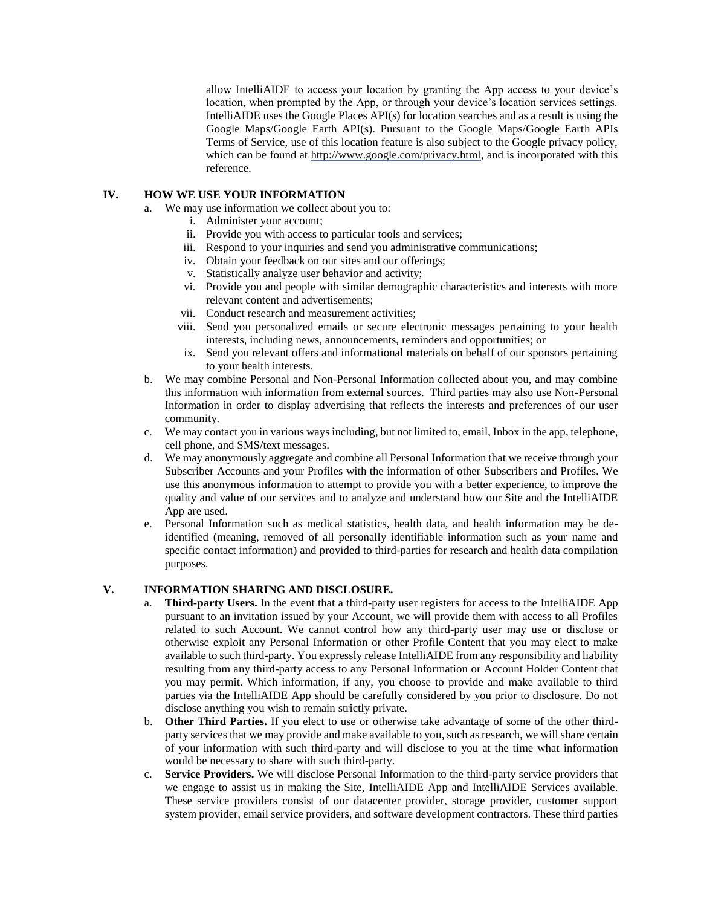allow IntelliAIDE to access your location by granting the App access to your device's location, when prompted by the App, or through your device's location services settings. IntelliAIDE uses the Google Places API(s) for location searches and as a result is using the Google Maps/Google Earth API(s). Pursuant to the Google Maps/Google Earth APIs Terms of Service, use of this location feature is also subject to the Google privacy policy, which can be found at [http://www.google.com/privacy.html,](http://www.google.com/privacy.html) and is incorporated with this reference.

## **IV. HOW WE USE YOUR INFORMATION**

- a. We may use information we collect about you to:
	- i. Administer your account;
	- ii. Provide you with access to particular tools and services;
	- iii. Respond to your inquiries and send you administrative communications;
	- iv. Obtain your feedback on our sites and our offerings;
	- v. Statistically analyze user behavior and activity;
	- vi. Provide you and people with similar demographic characteristics and interests with more relevant content and advertisements;
	- vii. Conduct research and measurement activities;
	- viii. Send you personalized emails or secure electronic messages pertaining to your health interests, including news, announcements, reminders and opportunities; or
	- ix. Send you relevant offers and informational materials on behalf of our sponsors pertaining to your health interests.
- b. We may combine Personal and Non-Personal Information collected about you, and may combine this information with information from external sources. Third parties may also use Non-Personal Information in order to display advertising that reflects the interests and preferences of our user community.
- c. We may contact you in various ways including, but not limited to, email, Inbox in the app, telephone, cell phone, and SMS/text messages.
- d. We may anonymously aggregate and combine all Personal Information that we receive through your Subscriber Accounts and your Profiles with the information of other Subscribers and Profiles. We use this anonymous information to attempt to provide you with a better experience, to improve the quality and value of our services and to analyze and understand how our Site and the IntelliAIDE App are used.
- e. Personal Information such as medical statistics, health data, and health information may be deidentified (meaning, removed of all personally identifiable information such as your name and specific contact information) and provided to third-parties for research and health data compilation purposes.

### **V. INFORMATION SHARING AND DISCLOSURE.**

- a. **Third-party Users.** In the event that a third-party user registers for access to the IntelliAIDE App pursuant to an invitation issued by your Account, we will provide them with access to all Profiles related to such Account. We cannot control how any third-party user may use or disclose or otherwise exploit any Personal Information or other Profile Content that you may elect to make available to such third-party. You expressly release IntelliAIDE from any responsibility and liability resulting from any third-party access to any Personal Information or Account Holder Content that you may permit. Which information, if any, you choose to provide and make available to third parties via the IntelliAIDE App should be carefully considered by you prior to disclosure. Do not disclose anything you wish to remain strictly private.
- b. **Other Third Parties.** If you elect to use or otherwise take advantage of some of the other thirdparty services that we may provide and make available to you, such as research, we will share certain of your information with such third-party and will disclose to you at the time what information would be necessary to share with such third-party.
- c. **Service Providers.** We will disclose Personal Information to the third-party service providers that we engage to assist us in making the Site, IntelliAIDE App and IntelliAIDE Services available. These service providers consist of our datacenter provider, storage provider, customer support system provider, email service providers, and software development contractors. These third parties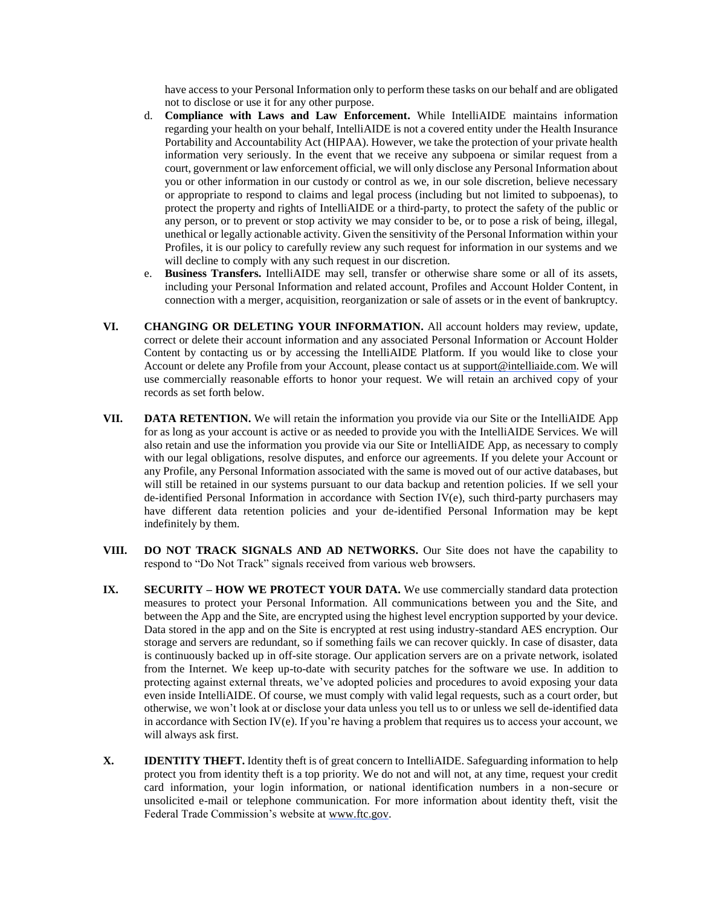have access to your Personal Information only to perform these tasks on our behalf and are obligated not to disclose or use it for any other purpose.

- d. **Compliance with Laws and Law Enforcement.** While IntelliAIDE maintains information regarding your health on your behalf, IntelliAIDE is not a covered entity under the Health Insurance Portability and Accountability Act (HIPAA). However, we take the protection of your private health information very seriously. In the event that we receive any subpoena or similar request from a court, government or law enforcement official, we will only disclose any Personal Information about you or other information in our custody or control as we, in our sole discretion, believe necessary or appropriate to respond to claims and legal process (including but not limited to subpoenas), to protect the property and rights of IntelliAIDE or a third-party, to protect the safety of the public or any person, or to prevent or stop activity we may consider to be, or to pose a risk of being, illegal, unethical or legally actionable activity. Given the sensitivity of the Personal Information within your Profiles, it is our policy to carefully review any such request for information in our systems and we will decline to comply with any such request in our discretion.
- e. **Business Transfers.** IntelliAIDE may sell, transfer or otherwise share some or all of its assets, including your Personal Information and related account, Profiles and Account Holder Content, in connection with a merger, acquisition, reorganization or sale of assets or in the event of bankruptcy.
- **VI. CHANGING OR DELETING YOUR INFORMATION.** All account holders may review, update, correct or delete their account information and any associated Personal Information or Account Holder Content by contacting us or by accessing the IntelliAIDE Platform. If you would like to close your Account or delete any Profile from your Account, please contact us at support@intelliaide.com. We will use commercially reasonable efforts to honor your request. We will retain an archived copy of your records as set forth below.
- **VII. DATA RETENTION.** We will retain the information you provide via our Site or the IntelliAIDE App for as long as your account is active or as needed to provide you with the IntelliAIDE Services. We will also retain and use the information you provide via our Site or IntelliAIDE App, as necessary to comply with our legal obligations, resolve disputes, and enforce our agreements. If you delete your Account or any Profile, any Personal Information associated with the same is moved out of our active databases, but will still be retained in our systems pursuant to our data backup and retention policies. If we sell your de-identified Personal Information in accordance with Section IV(e), such third-party purchasers may have different data retention policies and your de-identified Personal Information may be kept indefinitely by them.
- **VIII. DO NOT TRACK SIGNALS AND AD NETWORKS.** Our Site does not have the capability to respond to "Do Not Track" signals received from various web browsers.
- **IX. SECURITY HOW WE PROTECT YOUR DATA.** We use commercially standard data protection measures to protect your Personal Information. All communications between you and the Site, and between the App and the Site, are encrypted using the highest level encryption supported by your device. Data stored in the app and on the Site is encrypted at rest using industry-standard AES encryption. Our storage and servers are redundant, so if something fails we can recover quickly. In case of disaster, data is continuously backed up in off-site storage. Our application servers are on a private network, isolated from the Internet. We keep up-to-date with security patches for the software we use. In addition to protecting against external threats, we've adopted policies and procedures to avoid exposing your data even inside IntelliAIDE. Of course, we must comply with valid legal requests, such as a court order, but otherwise, we won't look at or disclose your data unless you tell us to or unless we sell de-identified data in accordance with Section IV(e). If you're having a problem that requires us to access your account, we will always ask first.
- **X. IDENTITY THEFT.** Identity theft is of great concern to IntelliAIDE. Safeguarding information to help protect you from identity theft is a top priority. We do not and will not, at any time, request your credit card information, your login information, or national identification numbers in a non-secure or unsolicited e-mail or telephone communication. For more information about identity theft, visit the Federal Trade Commission's website at [www.ftc.gov.](http://www.ftc.gov/)